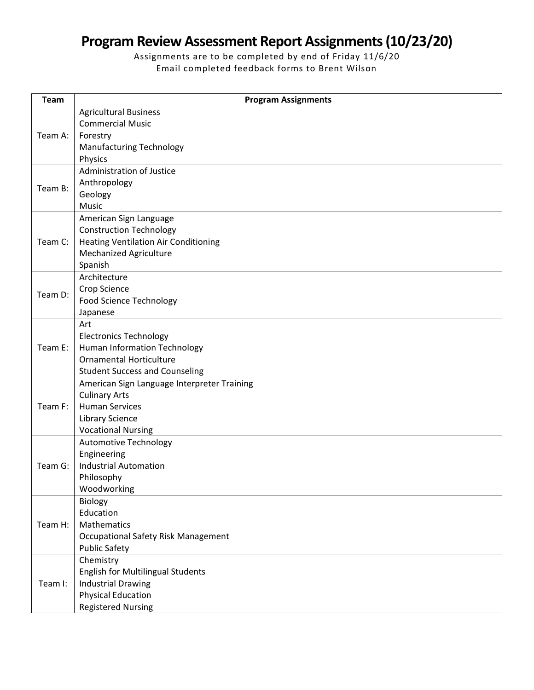## **Program Review Assessment Report Assignments (10/23/20)**

Assignments are to be completed by end of Friday 11/6/20 Email completed feedback forms to Brent Wilson

| <b>Team</b>        | <b>Program Assignments</b>                                         |
|--------------------|--------------------------------------------------------------------|
|                    | <b>Agricultural Business</b>                                       |
| Team A:            | <b>Commercial Music</b>                                            |
|                    | Forestry                                                           |
|                    | <b>Manufacturing Technology</b>                                    |
|                    | Physics                                                            |
| Team B:            | Administration of Justice                                          |
|                    | Anthropology                                                       |
|                    | Geology                                                            |
|                    | <b>Music</b>                                                       |
| Team C:            | American Sign Language                                             |
|                    | <b>Construction Technology</b>                                     |
|                    | <b>Heating Ventilation Air Conditioning</b>                        |
|                    | <b>Mechanized Agriculture</b>                                      |
|                    | Spanish                                                            |
| Team D:            | Architecture                                                       |
|                    | Crop Science                                                       |
|                    | <b>Food Science Technology</b>                                     |
|                    | Japanese                                                           |
| Team E:            | Art                                                                |
|                    | <b>Electronics Technology</b>                                      |
|                    | <b>Human Information Technology</b>                                |
|                    | <b>Ornamental Horticulture</b>                                     |
|                    | <b>Student Success and Counseling</b>                              |
| Team F:            | American Sign Language Interpreter Training                        |
|                    | <b>Culinary Arts</b>                                               |
|                    | <b>Human Services</b>                                              |
|                    | <b>Library Science</b>                                             |
|                    | <b>Vocational Nursing</b>                                          |
| Team G:<br>Team H: | <b>Automotive Technology</b>                                       |
|                    | Engineering                                                        |
|                    | <b>Industrial Automation</b>                                       |
|                    | Philosophy                                                         |
|                    | Woodworking                                                        |
|                    | Biology<br>Education                                               |
|                    | Mathematics                                                        |
|                    |                                                                    |
|                    | <b>Occupational Safety Risk Management</b><br><b>Public Safety</b> |
|                    |                                                                    |
| Team I:            | Chemistry<br><b>English for Multilingual Students</b>              |
|                    | <b>Industrial Drawing</b>                                          |
|                    | <b>Physical Education</b>                                          |
|                    | <b>Registered Nursing</b>                                          |
|                    |                                                                    |